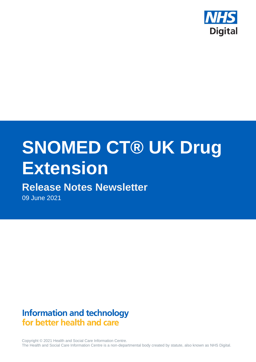

# **SNOMED CT® UK Drug Extension**

# **Release Notes Newsletter**

09 June 2021

# **Information and technology** for better health and care

Copyright © 2021 Health and Social Care Information Centre. The Health and Social Care Information Centre is a non-departmental body created by statute, also known as NHS Digital.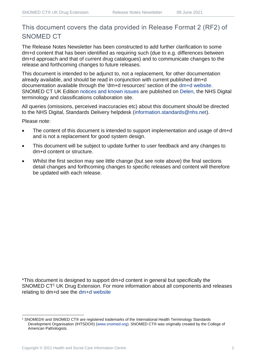# This document covers the data provided in Release Format 2 (RF2) of SNOMED CT

The Release Notes Newsletter has been constructed to add further clarification to some dm+d content that has been identified as requiring such (due to e.g. differences between dm+d approach and that of current drug catalogues) and to communicate changes to the release and forthcoming changes to future releases.

This document is intended to be adjunct to, not a replacement, for other documentation already available, and should be read in conjunction with current published dm+d documentation available through the 'dm+d resources' section of the [dm+d website.](https://www.nhsbsa.nhs.uk/pharmacies-gp-practices-and-appliance-contractors/dictionary-medicines-and-devices-dmd) SNOMED CT UK Edition [notices and known issues](https://hscic.kahootz.com/connect.ti/t_c_home/view?objectId=14224752) are published on [Delen,](https://hscic.kahootz.com/connect.ti/t_c_home) the NHS Digital terminology and classifications collaboration site.

All queries (omissions, perceived inaccuracies etc) about this document should be directed to the NHS Digital, Standards Delivery helpdesk [\(information.standards@nhs.net\)](mailto:information.standards@nhs.net).

Please note:

- The content of this document is intended to support implementation and usage of dm+d and is not a replacement for good system design.
- This document will be subject to update further to user feedback and any changes to dm+d content or structure.
- Whilst the first section may see little change (but see note above) the final sections detail changes and forthcoming changes to specific releases and content will therefore be updated with each release.

\*This document is designed to support dm+d content in general but specifically the SNOMED CT<sup>1</sup> UK Drug Extension. For more information about all components and releases relating to dm+d see the [dm+d website](https://www.nhsbsa.nhs.uk/pharmacies-gp-practices-and-appliance-contractors/dictionary-medicines-and-devices-dmd)

<sup>1</sup> SNOMED® and SNOMED CT® are registered trademarks of the International Health Terminology Standards Development Organisation (IHTSDO®) [\(www.snomed.org\)](http://www.snomed.org/). SNOMED CT® was originally created by the College of American Pathologists.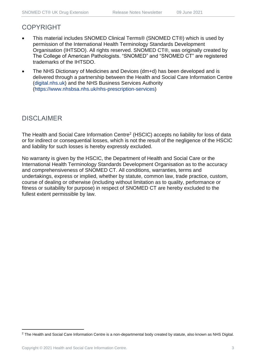# COPYRIGHT

- This material includes SNOMED Clinical Terms® (SNOMED CT®) which is used by permission of the International Health Terminology Standards Development Organisation (IHTSDO). All rights reserved. SNOMED CT®, was originally created by The College of American Pathologists. "SNOMED" and "SNOMED CT" are registered trademarks of the IHTSDO.
- The NHS Dictionary of Medicines and Devices (dm+d) has been developed and is delivered through a partnership between the Health and Social Care Information Centre [\(digital.nhs.uk\)](https://digital.nhs.uk/) and the NHS Business Services Authority [\(https://www.nhsbsa.nhs.uk/nhs-prescription-services\)](https://www.nhsbsa.nhs.uk/nhs-prescription-services)

# DISCLAIMER

The Health and Social Care Information Centre<sup>2</sup> (HSCIC) accepts no liability for loss of data or for indirect or consequential losses, which is not the result of the negligence of the HSCIC and liability for such losses is hereby expressly excluded.

No warranty is given by the HSCIC, the Department of Health and Social Care or the International Health Terminology Standards Development Organisation as to the accuracy and comprehensiveness of SNOMED CT. All conditions, warranties, terms and undertakings, express or implied, whether by statute, common law, trade practice, custom, course of dealing or otherwise (including without limitation as to quality, performance or fitness or suitability for purpose) in respect of SNOMED CT are hereby excluded to the fullest extent permissible by law.

<sup>&</sup>lt;sup>2</sup> The Health and Social Care Information Centre is a non-departmental body created by statute, also known as NHS Digital.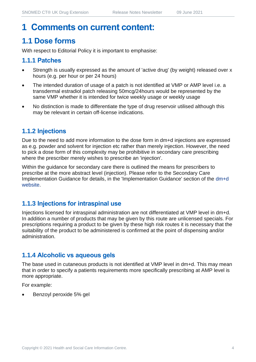# **1 Comments on current content:**

# **1.1 Dose forms**

With respect to Editorial Policy it is important to emphasise:

#### **1.1.1 Patches**

- Strength is usually expressed as the amount of 'active drug' (by weight) released over x hours (e.g. per hour or per 24 hours)
- The intended duration of usage of a patch is not identified at VMP or AMP level i.e. a transdermal estradiol patch releasing 50mcg/24hours would be represented by the same VMP whether it is intended for twice weekly usage or weekly usage
- No distinction is made to differentiate the type of drug reservoir utilised although this may be relevant in certain off-license indications.

#### **1.1.2 Injections**

Due to the need to add more information to the dose form in dm+d injections are expressed as e.g. powder and solvent for injection etc rather than merely injection. However, the need to pick a dose form of this complexity may be prohibitive in secondary care prescribing where the prescriber merely wishes to prescribe an 'injection'.

Within the guidance for secondary care there is outlined the means for prescribers to prescribe at the more abstract level (injection). Please refer to the Secondary Care Implementation Guidance for details, in the 'Implementation Guidance' section of the [dm+d](https://www.nhsbsa.nhs.uk/pharmacies-gp-practices-and-appliance-contractors/dictionary-medicines-and-devices-dmd)  [website.](https://www.nhsbsa.nhs.uk/pharmacies-gp-practices-and-appliance-contractors/dictionary-medicines-and-devices-dmd)

#### **1.1.3 Injections for intraspinal use**

Injections licensed for intraspinal administration are not differentiated at VMP level in dm+d. In addition a number of products that may be given by this route are unlicensed specials. For prescriptions requiring a product to be given by these high risk routes it is necessary that the suitability of the product to be administered is confirmed at the point of dispensing and/or administration.

## **1.1.4 Alcoholic vs aqueous gels**

The base used in cutaneous products is not identified at VMP level in dm+d. This may mean that in order to specify a patients requirements more specifically prescribing at AMP level is more appropriate.

For example:

• Benzoyl peroxide 5% gel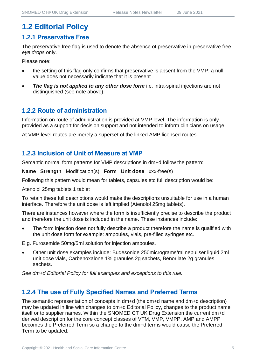# **1.2 Editorial Policy**

#### **1.2.1 Preservative Free**

The preservative free flag is used to denote the absence of preservative in preservative free *eye drops* only.

Please note:

- the setting of this flag only confirms that preservative is absent from the VMP; a null value does not necessarily indicate that it is present
- **The flag is not applied to any other dose form** i.e. intra-spinal injections are not distinguished (see note above).

#### **1.2.2 Route of administration**

Information on route of administration is provided at VMP level. The information is only provided as a support for decision support and not intended to inform clinicians on usage.

At VMP level routes are merely a superset of the linked AMP licensed routes.

#### **1.2.3 Inclusion of Unit of Measure at VMP**

Semantic normal form patterns for VMP descriptions in dm+d follow the pattern:

**Name Strength** Modification(s) **Form Unit dose** xxx-free(s)

Following this pattern would mean for tablets, capsules etc full description would be:

Atenolol 25mg tablets 1 tablet

To retain these full descriptions would make the descriptions unsuitable for use in a human interface. Therefore the unit dose is left implied (Atenolol 25mg tablets).

There are instances however where the form is insufficiently precise to describe the product and therefore the unit dose is included in the name. These instances include:

The form injection does not fully describe a product therefore the name is qualified with the unit dose form for example: ampoules, vials, pre-filled syringes etc.

E.g. Furosemide 50mg/5ml solution for injection ampoules.

• Other unit dose examples include: Budesonide 250micrograms/ml nebuliser liquid 2ml unit dose vials, Carbenoxalone 1% granules 2g sachets, Benorilate 2g granules sachets.

*See dm+d Editorial Policy for full examples and exceptions to this rule.*

#### **1.2.4 The use of Fully Specified Names and Preferred Terms**

The semantic representation of concepts in dm+d (the dm+d name and dm+d description) may be updated in line with changes to dm+d Editorial Policy, changes to the product name itself or to supplier names. Within the SNOMED CT UK Drug Extension the current dm+d derived description for the core concept classes of VTM, VMP, VMPP, AMP and AMPP becomes the Preferred Term so a change to the dm+d terms would cause the Preferred Term to be updated.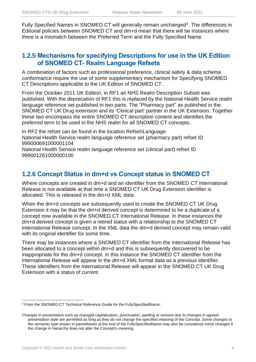Fully Specified Names in SNOMED CT will generally remain unchanged<sup>3</sup>. The differences in Editorial policies between SNOMED CT and dm+d mean that there will be instances where there is a mismatch between the Preferred Term and the Fully Specified Name.

#### **1.2.5 Mechanisms for specifying Descriptions for use in the UK Edition of SNOMED CT- Realm Language Refsets**

A combination of factors such as professional preference, clinical safety & data schema conformance require the use of some supplementary mechanism for Specifying SNOMED CT Descriptions applicable to the UK Edition of SNOMED CT.

From the October 2011 UK Edition, in RF1 an NHS Realm Description Subset was published. With the deprecation of RF1 this is replaced by the National Health Service realm language reference set published in two parts. The "Pharmacy part" as published in the SNOMED CT UK Drug extension and its 'Clinical part' partner in the UK Extension. Together these two encompass the entire SNOMED CT description content and identifies the preferred term to be used in the NHS realm for all SNOMED CT concepts.

In RF2 the refset can be found in the location Refset\Language. National Health Service realm language reference set (pharmacy part) refset ID 999000691000001104

National Health Service realm language reference set (clinical part) refset ID 999001261000000100

#### **1.2.6 Concept Status in dm+d vs Concept status in SNOMED CT**

Where concepts are created in dm+d and an identifier from the SNOMED CT International Release is not available at that time a SNOMED CT UK Drug Extension identifier is allocated. This is released in the dm+d XML data.

When the dm+d concepts are subsequently used to create the SNOMED CT UK Drug Extension it may be that the dm+d derived concept is determined to be a duplicate of a concept now available in the SNOMED CT International Release. In these instances the dm+d derived concept is given a retired status with a relationship to the SNOMED CT International Release concept. In the XML data the dm+d derived concept may remain valid with its original identifier for some time.

There may be instances where a SNOMED CT identifier from the International Release has been allocated to a concept within dm+d and this is subsequently discovered to be inappropriate for the dm+d concept. In this instance the SNOMED CT identifier from the International Release will appear in the dm+d XML format data as a previous identifier. These identifiers from the International Release will appear in the SNOMED CT UK Drug Extension with a status of current.

<sup>3</sup> From the SNOMED CT Technical Reference Guide for the FullySpecifiedName:

Changes in presentation such as changed capitalization, punctuation, spelling or revision due to changes in agreed presentation style are permitted as long as they do not change the specified meaning of the Concept. Some changes to the semantic type shown in parentheses at the end of the FullySpecifiedName may also be considered minor changes if the change in hierarchy does not alter the Concept's meaning.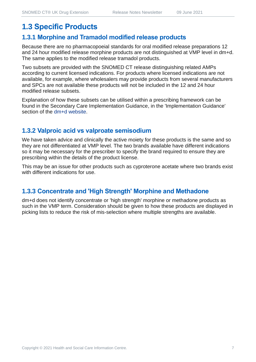# **1.3 Specific Products**

#### **1.3.1 Morphine and Tramadol modified release products**

Because there are no pharmacopoeial standards for oral modified release preparations 12 and 24 hour modified release morphine products are not distinguished at VMP level in dm+d. The same applies to the modified release tramadol products.

Two subsets are provided with the SNOMED CT release distinguishing related AMPs according to current licensed indications. For products where licensed indications are not available, for example, where wholesalers may provide products from several manufacturers and SPCs are not available these products will not be included in the 12 and 24 hour modified release subsets.

Explanation of how these subsets can be utilised within a prescribing framework can be found in the Secondary Care Implementation Guidance, in the 'Implementation Guidance' section of the [dm+d website.](https://www.nhsbsa.nhs.uk/pharmacies-gp-practices-and-appliance-contractors/dictionary-medicines-and-devices-dmd)

#### **1.3.2 Valproic acid vs valproate semisodium**

We have taken advice and clinically the active moiety for these products is the same and so they are not differentiated at VMP level. The two brands available have different indications so it may be necessary for the prescriber to specify the brand required to ensure they are prescribing within the details of the product license.

This may be an issue for other products such as cyproterone acetate where two brands exist with different indications for use.

#### **1.3.3 Concentrate and 'High Strength' Morphine and Methadone**

dm+d does not identify concentrate or 'high strength' morphine or methadone products as such in the VMP term. Consideration should be given to how these products are displayed in picking lists to reduce the risk of mis-selection where multiple strengths are available.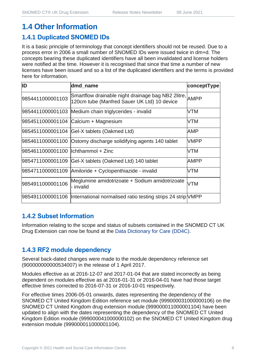# **1.4 Other Information**

#### **1.4.1 Duplicated SNOMED IDs**

It is a basic principle of terminology that concept identifiers should not be reused. Due to a process error in 2006 a small number of SNOMED IDs were issued twice in dm+d. The concepts bearing these duplicated identifiers have all been invalidated and license holders were notified at the time. However it is recognised that since that time a number of new licenses have been issued and so a list of the duplicated identifiers and the terms is provided here for information.

| ID                                   | dmd_name                                                                                               | conceptType |
|--------------------------------------|--------------------------------------------------------------------------------------------------------|-------------|
| 9854411000001103                     | Smartflow drainable night drainage bag NB2 2litre, AMPP<br>120cm tube (Manfred Sauer UK Ltd) 10 device |             |
|                                      | 9854411000001103 Medium chain triglycerides - invalid                                                  | VTM         |
|                                      | 9854511000001104 Calcium + Magnesium                                                                   | VTM         |
|                                      | 9854511000001104 Gel-X tablets (Oakmed Ltd)                                                            | AMP         |
|                                      | 9854611000001100 Ostomy discharge solidifying agents 140 tablet                                        | <b>VMPP</b> |
| 9854611000001100   Ichthammol + Zinc |                                                                                                        | VTM         |
|                                      | 9854711000001109 Gel-X tablets (Oakmed Ltd) 140 tablet                                                 | <b>AMPP</b> |
|                                      | 9854711000001109 Amiloride + Cyclopenthiazide - invalid                                                | VTM         |
| 9854911000001106                     | Meglumine amidotrizoate + Sodium amidotrizoate<br>- invalid                                            | <b>VTM</b>  |
|                                      | 9854911000001106  International normalised ratio testing strips 24 strip VMPP                          |             |

#### **1.4.2 Subset Information**

Information relating to the scope and status of subsets contained in the SNOMED CT UK Drug Extension can now be found at the [Data Dictionary for Care \(DD4C\).](https://dd4c.digital.nhs.uk/dd4c/)

## **1.4.3 RF2 module dependency**

Several back-dated changes were made to the module dependency reference set (900000000000534007) in the release of 1 April 2017.

Modules effective as at 2016-12-07 and 2017-01-04 that are stated incorrectly as being dependent on modules effective as at 2016-01-31 or 2016-04-01 have had those target effective times corrected to 2016-07-31 or 2016-10-01 respectively.

For effective times 2006-05-01 onwards, dates representing the dependency of the SNOMED CT United Kingdom Edition reference set module (999000031000000106) on the SNOMED CT United Kingdom drug extension module (999000011000001104) have been updated to align with the dates representing the dependency of the SNOMED CT United Kingdom Edition module (999000041000000102) on the SNOMED CT United Kingdom drug extension module (999000011000001104).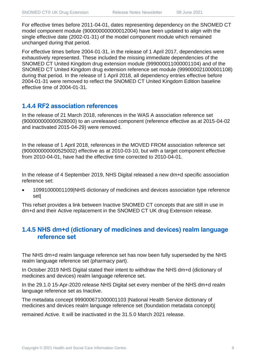For effective times before 2011-04-01, dates representing dependency on the SNOMED CT model component module (900000000000012004) have been updated to align with the single effective date (2002-01-31) of the model component module which remained unchanged during that period.

For effective times before 2004-01-31, in the release of 1 April 2017, dependencies were exhaustively represented. These included the missing immediate dependencies of the SNOMED CT United Kingdom drug extension module (999000011000001104) and of the SNOMED CT United Kingdom drug extension reference set module (999000021000001108) during that period. In the release of 1 April 2018, all dependency entries effective before 2004-01-31 were removed to reflect the SNOMED CT United Kingdom Edition baseline effective time of 2004-01-31.

#### **1.4.4 RF2 association references**

In the release of 21 March 2018, references in the WAS A association reference set (900000000000528000) to an unreleased component (reference effective as at 2015-04-02 and inactivated 2015-04-29) were removed.

In the release of 1 April 2018, references in the MOVED FROM association reference set (900000000000525002) effective as at 2010-03-10, but with a target component effective from 2010-04-01, have had the effective time corrected to 2010-04-01.

In the release of 4 September 2019, NHS Digital released a new dm+d specific association reference set:

• 10991000001109|NHS dictionary of medicines and devices association type reference set|

This refset provides a link between Inactive SNOMED CT concepts that are still in use in dm+d and their Active replacement in the SNOMED CT UK drug Extension release.

#### **1.4.5 NHS dm+d (dictionary of medicines and devices) realm language reference set**

The NHS dm+d realm language reference set has now been fully superseded by the NHS realm language reference set (pharmacy part).

In October 2019 NHS Digital stated their intent to withdraw the NHS dm+d (dictionary of medicines and devices) realm language reference set.

In the 29.1.0 15-Apr-2020 release NHS Digital set every member of the NHS dm+d realm language reference set as Inactive.

The metadata concept 999000671000001103 |National Health Service dictionary of medicines and devices realm language reference set (foundation metadata concept)|

remained Active. It will be inactivated in the 31.5.0 March 2021 release.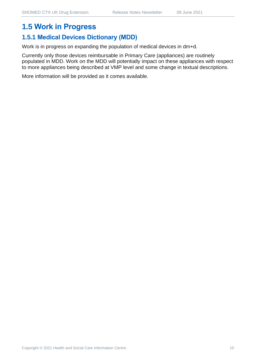# **1.5 Work in Progress**

#### **1.5.1 Medical Devices Dictionary (MDD)**

Work is in progress on expanding the population of medical devices in dm+d.

Currently only those devices reimbursable in Primary Care (appliances) are routinely populated in MDD. Work on the MDD will potentially impact on these appliances with respect to more appliances being described at VMP level and some change in textual descriptions.

More information will be provided as it comes available.